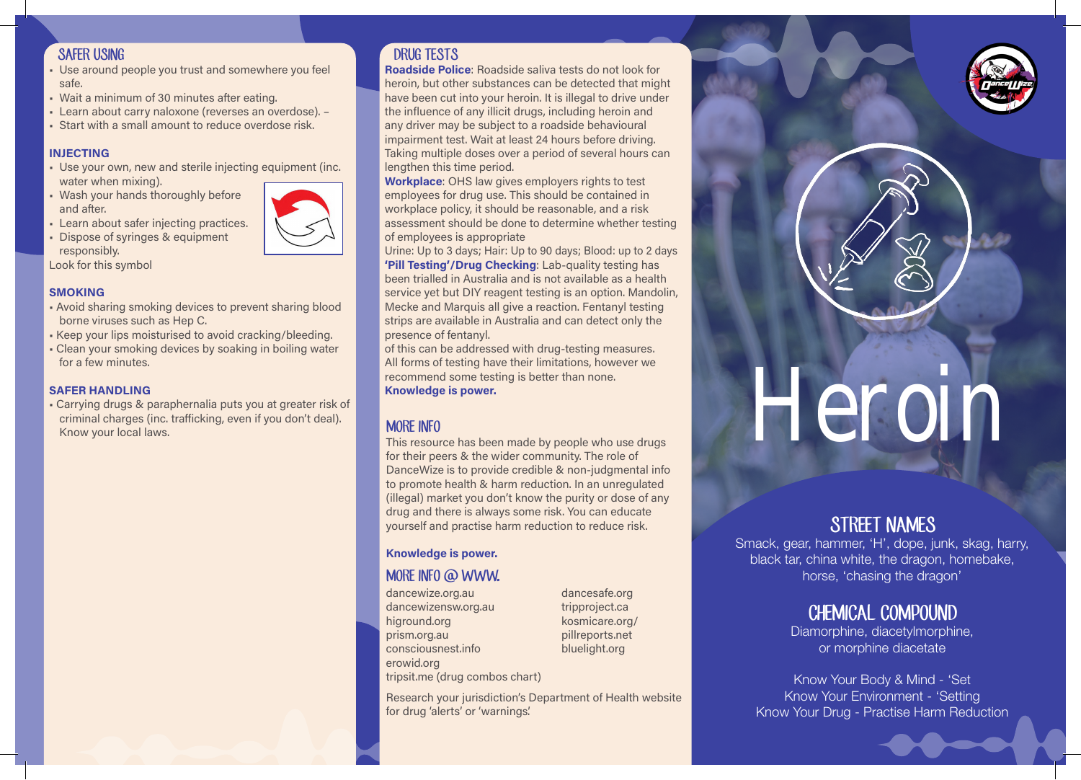### SAFER USING

- Use around people you trust and somewhere you feel safe.
- Wait a minimum of 30 minutes after eating.
- Learn about carry naloxone (reverses an overdose). -
- Start with a small amount to reduce overdose risk.

#### INJECTING

- Use your own, new and sterile injecting equipment (inc. water when mixing).
- Wash your hands thoroughly before and after.
- **Learn about safer injecting practices.**
- Dispose of syringes & equipment responsibly.

Look for this symbol

#### **SMOKING**

- Avoid sharing smoking devices to prevent sharing blood borne viruses such as Hep C.
- Keep your lips moisturised to avoid cracking/bleeding.
- Clean your smoking devices by soaking in boiling water for a few minutes.

#### SAFER HANDLING

• Carrying drugs & paraphernalia puts you at greater risk of criminal charges (inc. trafficking, even if you don't deal).

## DRUG TESTS

Roadside Police: Roadside saliva tests do not look for heroin, but other substances can be detected that might have been cut into your heroin. It is illegal to drive under the influence of any illicit drugs, including heroin and any driver may be subject to a roadside behavioural impairment test. Wait at least 24 hours before driving. Taking multiple doses over a period of several hours can lengthen this time period.

Workplace: OHS law gives employers rights to test employees for drug use. This should be contained in workplace policy, it should be reasonable, and a risk assessment should be done to determine whether testing of employees is appropriate

Urine: Up to 3 days; Hair: Up to 90 days; Blood: up to 2 days 'Pill Testing'/Drug Checking: Lab-quality testing has been trialled in Australia and is not available as a health service yet but DIY reagent testing is an option. Mandolin, Mecke and Marquis all give a reaction. Fentanyl testing strips are available in Australia and can detect only the presence of fentanyl.

of this can be addressed with drug-testing measures. All forms of testing have their limitations, however we recommend some testing is better than none. Knowledge is power.

## MORE INFO

This resource has been made by people who use drugs for their peers & the wider community. The role of DanceWize is to provide credible & non-judgmental info to promote health & harm reduction. In an unregulated (illegal) market you don't know the purity or dose of any drug and there is always some risk. You can educate yourself and practise harm reduction to reduce risk.

### Knowledge is power.

# MORE INFO @ WWW.

dancewize.org.au dancewizensw.org.au higround.org prism.org.au consciousnest.info erowid.org tripsit.me (drug combos chart) dancesafe.org tripproject.ca kosmicare.org/ pillreports.net bluelight.org

Research your jurisdiction's Department of Health website for drug 'alerts' or 'warnings'.



# STREET NAMES

Smack, gear, hammer, 'H', dope, junk, skag, harry, black tar, china white, the dragon, homebake, horse, 'chasing the dragon'

# CHEMICAL COMPOUND

Diamorphine, diacetylmorphine, or morphine diacetate

Know Your Body & Mind - 'Set Know Your Environment - 'Setting Know Your Drug - Practise Harm Reduction